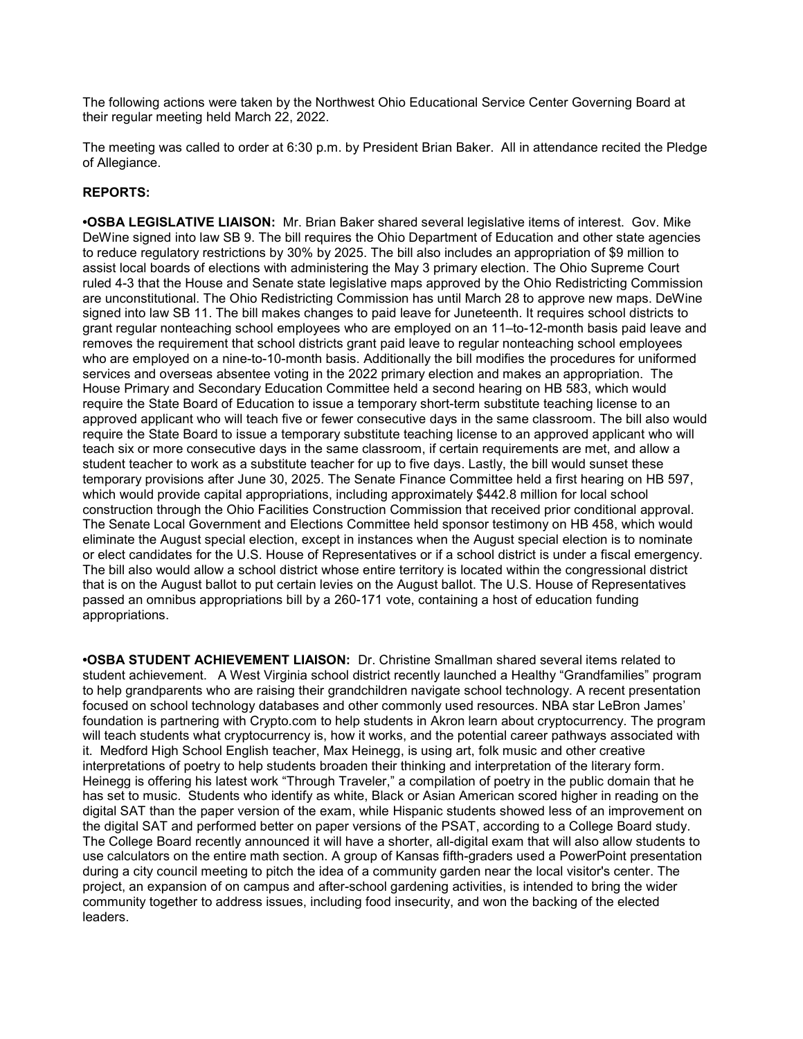The following actions were taken by the Northwest Ohio Educational Service Center Governing Board at their regular meeting held March 22, 2022.

The meeting was called to order at 6:30 p.m. by President Brian Baker. All in attendance recited the Pledge of Allegiance.

# REPORTS:

•OSBA LEGISLATIVE LIAISON: Mr. Brian Baker shared several legislative items of interest. Gov. Mike DeWine signed into law SB 9. The bill requires the Ohio Department of Education and other state agencies to reduce regulatory restrictions by 30% by 2025. The bill also includes an appropriation of \$9 million to assist local boards of elections with administering the May 3 primary election. The Ohio Supreme Court ruled 4-3 that the House and Senate state legislative maps approved by the Ohio Redistricting Commission are unconstitutional. The Ohio Redistricting Commission has until March 28 to approve new maps. DeWine signed into law SB 11. The bill makes changes to paid leave for Juneteenth. It requires school districts to grant regular nonteaching school employees who are employed on an 11–to-12-month basis paid leave and removes the requirement that school districts grant paid leave to regular nonteaching school employees who are employed on a nine-to-10-month basis. Additionally the bill modifies the procedures for uniformed services and overseas absentee voting in the 2022 primary election and makes an appropriation. The House Primary and Secondary Education Committee held a second hearing on HB 583, which would require the State Board of Education to issue a temporary short-term substitute teaching license to an approved applicant who will teach five or fewer consecutive days in the same classroom. The bill also would require the State Board to issue a temporary substitute teaching license to an approved applicant who will teach six or more consecutive days in the same classroom, if certain requirements are met, and allow a student teacher to work as a substitute teacher for up to five days. Lastly, the bill would sunset these temporary provisions after June 30, 2025. The Senate Finance Committee held a first hearing on HB 597, which would provide capital appropriations, including approximately \$442.8 million for local school construction through the Ohio Facilities Construction Commission that received prior conditional approval. The Senate Local Government and Elections Committee held sponsor testimony on HB 458, which would eliminate the August special election, except in instances when the August special election is to nominate or elect candidates for the U.S. House of Representatives or if a school district is under a fiscal emergency. The bill also would allow a school district whose entire territory is located within the congressional district that is on the August ballot to put certain levies on the August ballot. The U.S. House of Representatives passed an omnibus appropriations bill by a 260-171 vote, containing a host of education funding appropriations.

•OSBA STUDENT ACHIEVEMENT LIAISON: Dr. Christine Smallman shared several items related to student achievement. A West Virginia school district recently launched a Healthy "Grandfamilies" program to help grandparents who are raising their grandchildren navigate school technology. A recent presentation focused on school technology databases and other commonly used resources. NBA star LeBron James' foundation is partnering with Crypto.com to help students in Akron learn about cryptocurrency. The program will teach students what cryptocurrency is, how it works, and the potential career pathways associated with it. Medford High School English teacher, Max Heinegg, is using art, folk music and other creative interpretations of poetry to help students broaden their thinking and interpretation of the literary form. Heinegg is offering his latest work "Through Traveler," a compilation of poetry in the public domain that he has set to music. Students who identify as white, Black or Asian American scored higher in reading on the digital SAT than the paper version of the exam, while Hispanic students showed less of an improvement on the digital SAT and performed better on paper versions of the PSAT, according to a College Board study. The College Board recently announced it will have a shorter, all-digital exam that will also allow students to use calculators on the entire math section. A group of Kansas fifth-graders used a PowerPoint presentation during a city council meeting to pitch the idea of a community garden near the local visitor's center. The project, an expansion of on campus and after-school gardening activities, is intended to bring the wider community together to address issues, including food insecurity, and won the backing of the elected leaders.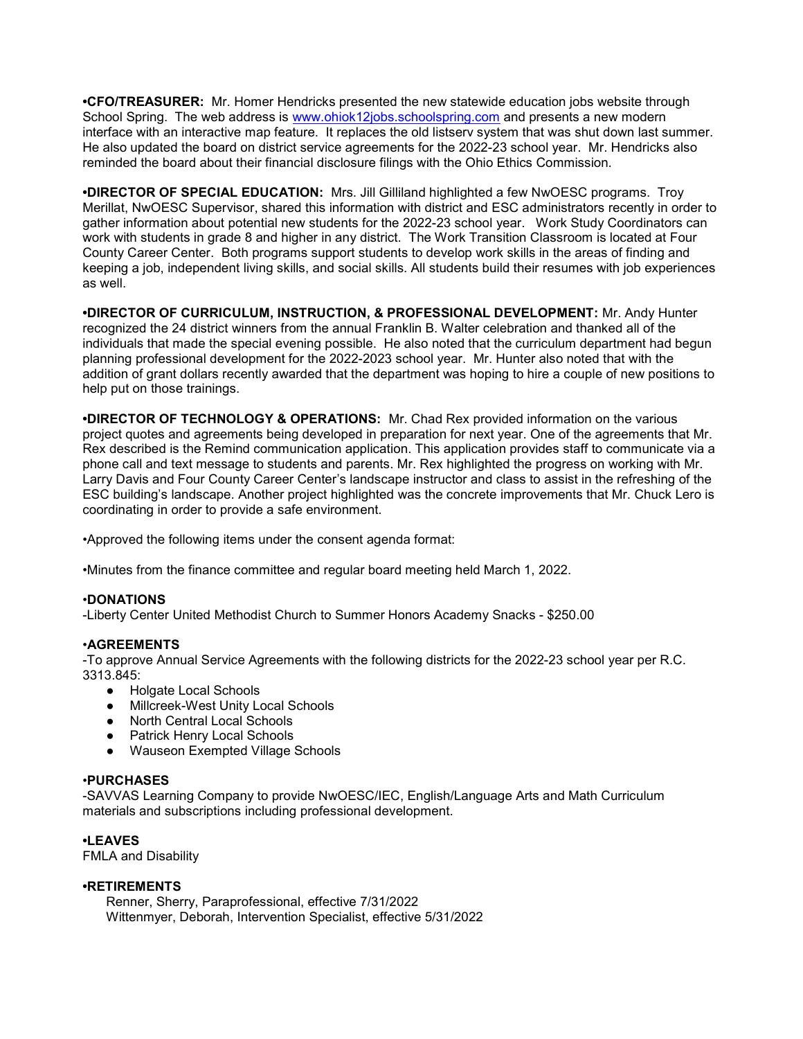•CFO/TREASURER: Mr. Homer Hendricks presented the new statewide education jobs website through School Spring. The web address is www.ohiok12jobs.schoolspring.com and presents a new modern interface with an interactive map feature. It replaces the old listserv system that was shut down last summer. He also updated the board on district service agreements for the 2022-23 school year. Mr. Hendricks also reminded the board about their financial disclosure filings with the Ohio Ethics Commission.

•DIRECTOR OF SPECIAL EDUCATION: Mrs. Jill Gilliland highlighted a few NwOESC programs. Troy Merillat, NwOESC Supervisor, shared this information with district and ESC administrators recently in order to gather information about potential new students for the 2022-23 school year. Work Study Coordinators can work with students in grade 8 and higher in any district. The Work Transition Classroom is located at Four County Career Center. Both programs support students to develop work skills in the areas of finding and keeping a job, independent living skills, and social skills. All students build their resumes with job experiences as well.

•DIRECTOR OF CURRICULUM, INSTRUCTION, & PROFESSIONAL DEVELOPMENT: Mr. Andy Hunter recognized the 24 district winners from the annual Franklin B. Walter celebration and thanked all of the individuals that made the special evening possible. He also noted that the curriculum department had begun planning professional development for the 2022-2023 school year. Mr. Hunter also noted that with the addition of grant dollars recently awarded that the department was hoping to hire a couple of new positions to help put on those trainings.

•DIRECTOR OF TECHNOLOGY & OPERATIONS: Mr. Chad Rex provided information on the various project quotes and agreements being developed in preparation for next year. One of the agreements that Mr. Rex described is the Remind communication application. This application provides staff to communicate via a phone call and text message to students and parents. Mr. Rex highlighted the progress on working with Mr. Larry Davis and Four County Career Center's landscape instructor and class to assist in the refreshing of the ESC building's landscape. Another project highlighted was the concrete improvements that Mr. Chuck Lero is coordinating in order to provide a safe environment.

•Approved the following items under the consent agenda format:

•Minutes from the finance committee and regular board meeting held March 1, 2022.

## •DONATIONS

-Liberty Center United Methodist Church to Summer Honors Academy Snacks - \$250.00

# •AGREEMENTS

-To approve Annual Service Agreements with the following districts for the 2022-23 school year per R.C. 3313.845:

- Holgate Local Schools
- Millcreek-West Unity Local Schools
- North Central Local Schools
- Patrick Henry Local Schools
- Wauseon Exempted Village Schools

# •PURCHASES

-SAVVAS Learning Company to provide NwOESC/IEC, English/Language Arts and Math Curriculum materials and subscriptions including professional development.

# •LEAVES

FMLA and Disability

## •RETIREMENTS

 Renner, Sherry, Paraprofessional, effective 7/31/2022 Wittenmyer, Deborah, Intervention Specialist, effective 5/31/2022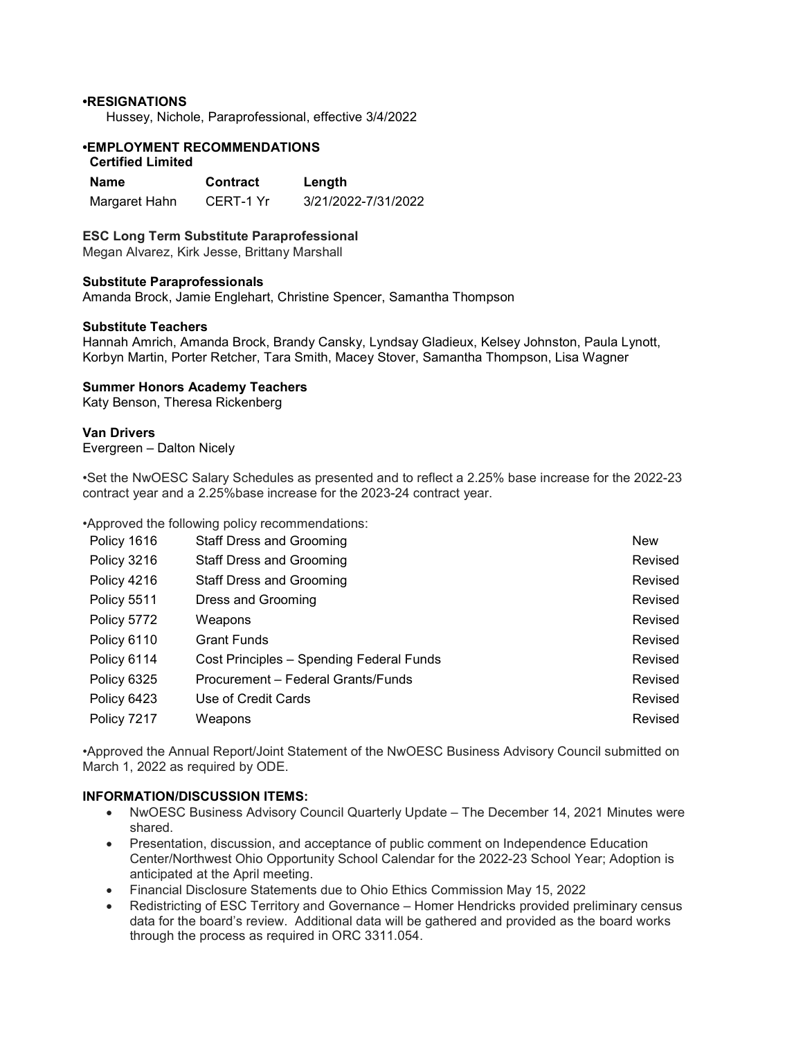## •RESIGNATIONS

Hussey, Nichole, Paraprofessional, effective 3/4/2022

# •EMPLOYMENT RECOMMENDATIONS

# Certified Limited

| Name          | <b>Contract</b> | Length              |
|---------------|-----------------|---------------------|
| Margaret Hahn | CERT-1 Yr       | 3/21/2022-7/31/2022 |

#### ESC Long Term Substitute Paraprofessional

Megan Alvarez, Kirk Jesse, Brittany Marshall

#### Substitute Paraprofessionals

Amanda Brock, Jamie Englehart, Christine Spencer, Samantha Thompson

#### Substitute Teachers

Hannah Amrich, Amanda Brock, Brandy Cansky, Lyndsay Gladieux, Kelsey Johnston, Paula Lynott, Korbyn Martin, Porter Retcher, Tara Smith, Macey Stover, Samantha Thompson, Lisa Wagner

#### Summer Honors Academy Teachers

Katy Benson, Theresa Rickenberg

## Van Drivers

Evergreen – Dalton Nicely

•Set the NwOESC Salary Schedules as presented and to reflect a 2.25% base increase for the 2022-23 contract year and a 2.25%base increase for the 2023-24 contract year.

•Approved the following policy recommendations:

| Policy 1616 | <b>Staff Dress and Grooming</b>          | <b>New</b> |
|-------------|------------------------------------------|------------|
| Policy 3216 | <b>Staff Dress and Grooming</b>          | Revised    |
| Policy 4216 | <b>Staff Dress and Grooming</b>          | Revised    |
| Policy 5511 | Dress and Grooming                       | Revised    |
| Policy 5772 | Weapons                                  | Revised    |
| Policy 6110 | <b>Grant Funds</b>                       | Revised    |
| Policy 6114 | Cost Principles - Spending Federal Funds | Revised    |
| Policy 6325 | Procurement – Federal Grants/Funds       | Revised    |
| Policy 6423 | Use of Credit Cards                      | Revised    |
| Policy 7217 | Weapons                                  | Revised    |

•Approved the Annual Report/Joint Statement of the NwOESC Business Advisory Council submitted on March 1, 2022 as required by ODE.

## INFORMATION/DISCUSSION ITEMS:

- NwOESC Business Advisory Council Quarterly Update The December 14, 2021 Minutes were shared.
- Presentation, discussion, and acceptance of public comment on Independence Education Center/Northwest Ohio Opportunity School Calendar for the 2022-23 School Year; Adoption is anticipated at the April meeting.
- Financial Disclosure Statements due to Ohio Ethics Commission May 15, 2022
- Redistricting of ESC Territory and Governance Homer Hendricks provided preliminary census data for the board's review. Additional data will be gathered and provided as the board works through the process as required in ORC 3311.054.